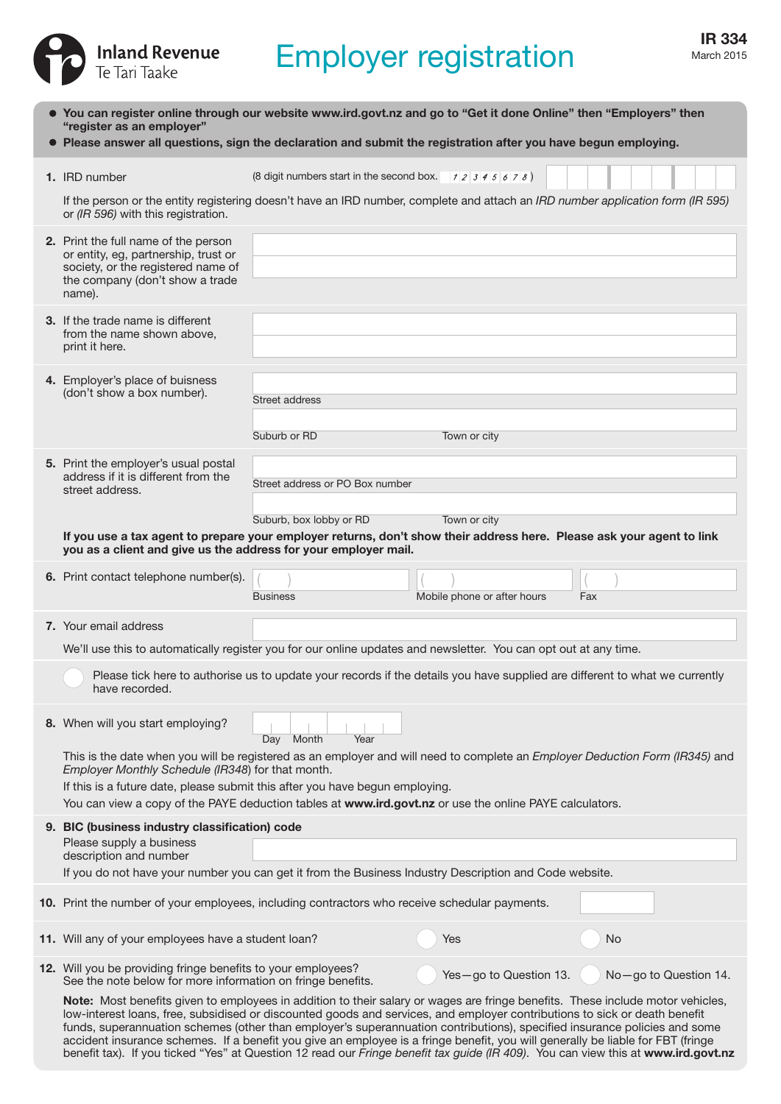## Inland Revenue Employer registration March 2015

| • You can register online through our website www.ird.govt.nz and go to "Get it done Online" then "Employers" then<br>"register as an employer"<br>Please answer all questions, sign the declaration and submit the registration after you have begun employing.                                                                                                                                                                                                                                                                                                                                                                                                  |                                                        |                             |                       |  |  |  |  |  |
|-------------------------------------------------------------------------------------------------------------------------------------------------------------------------------------------------------------------------------------------------------------------------------------------------------------------------------------------------------------------------------------------------------------------------------------------------------------------------------------------------------------------------------------------------------------------------------------------------------------------------------------------------------------------|--------------------------------------------------------|-----------------------------|-----------------------|--|--|--|--|--|
| 1. IRD number                                                                                                                                                                                                                                                                                                                                                                                                                                                                                                                                                                                                                                                     | (8 digit numbers start in the second box. $12345678$ ) |                             |                       |  |  |  |  |  |
| If the person or the entity registering doesn't have an IRD number, complete and attach an IRD number application form (IR 595)<br>or (IR 596) with this registration.                                                                                                                                                                                                                                                                                                                                                                                                                                                                                            |                                                        |                             |                       |  |  |  |  |  |
| 2. Print the full name of the person<br>or entity, eg, partnership, trust or<br>society, or the registered name of<br>the company (don't show a trade<br>name).                                                                                                                                                                                                                                                                                                                                                                                                                                                                                                   |                                                        |                             |                       |  |  |  |  |  |
| 3. If the trade name is different<br>from the name shown above,<br>print it here.                                                                                                                                                                                                                                                                                                                                                                                                                                                                                                                                                                                 |                                                        |                             |                       |  |  |  |  |  |
| 4. Employer's place of buisness<br>(don't show a box number).                                                                                                                                                                                                                                                                                                                                                                                                                                                                                                                                                                                                     | Street address                                         |                             |                       |  |  |  |  |  |
|                                                                                                                                                                                                                                                                                                                                                                                                                                                                                                                                                                                                                                                                   | Suburb or RD                                           | Town or city                |                       |  |  |  |  |  |
| 5. Print the employer's usual postal<br>address if it is different from the<br>street address.                                                                                                                                                                                                                                                                                                                                                                                                                                                                                                                                                                    | Street address or PO Box number                        |                             |                       |  |  |  |  |  |
| Suburb, box lobby or RD<br>Town or city<br>If you use a tax agent to prepare your employer returns, don't show their address here. Please ask your agent to link<br>you as a client and give us the address for your employer mail.                                                                                                                                                                                                                                                                                                                                                                                                                               |                                                        |                             |                       |  |  |  |  |  |
| 6. Print contact telephone number(s).                                                                                                                                                                                                                                                                                                                                                                                                                                                                                                                                                                                                                             | <b>Business</b>                                        | Mobile phone or after hours | Fax                   |  |  |  |  |  |
| 7. Your email address                                                                                                                                                                                                                                                                                                                                                                                                                                                                                                                                                                                                                                             |                                                        |                             |                       |  |  |  |  |  |
| We'll use this to automatically register you for our online updates and newsletter. You can opt out at any time.                                                                                                                                                                                                                                                                                                                                                                                                                                                                                                                                                  |                                                        |                             |                       |  |  |  |  |  |
| Please tick here to authorise us to update your records if the details you have supplied are different to what we currently<br>have recorded.                                                                                                                                                                                                                                                                                                                                                                                                                                                                                                                     |                                                        |                             |                       |  |  |  |  |  |
| 8. When will you start employing?                                                                                                                                                                                                                                                                                                                                                                                                                                                                                                                                                                                                                                 | Month<br>Year<br>Day                                   |                             |                       |  |  |  |  |  |
| This is the date when you will be registered as an employer and will need to complete an <i>Employer Deduction Form (IR345)</i> and<br>Employer Monthly Schedule (IR348) for that month.<br>If this is a future date, please submit this after you have begun employing.<br>You can view a copy of the PAYE deduction tables at www.ird.govt.nz or use the online PAYE calculators.                                                                                                                                                                                                                                                                               |                                                        |                             |                       |  |  |  |  |  |
| 9. BIC (business industry classification) code<br>Please supply a business                                                                                                                                                                                                                                                                                                                                                                                                                                                                                                                                                                                        |                                                        |                             |                       |  |  |  |  |  |
| description and number<br>If you do not have your number you can get it from the Business Industry Description and Code website.                                                                                                                                                                                                                                                                                                                                                                                                                                                                                                                                  |                                                        |                             |                       |  |  |  |  |  |
| 10. Print the number of your employees, including contractors who receive schedular payments.                                                                                                                                                                                                                                                                                                                                                                                                                                                                                                                                                                     |                                                        |                             |                       |  |  |  |  |  |
| 11. Will any of your employees have a student loan?                                                                                                                                                                                                                                                                                                                                                                                                                                                                                                                                                                                                               |                                                        | Yes                         | <b>No</b>             |  |  |  |  |  |
| 12. Will you be providing fringe benefits to your employees?<br>See the note below for more information on fringe benefits.                                                                                                                                                                                                                                                                                                                                                                                                                                                                                                                                       |                                                        | Yes-go to Question 13.      | No-go to Question 14. |  |  |  |  |  |
| Note: Most benefits given to employees in addition to their salary or wages are fringe benefits. These include motor vehicles,<br>low-interest loans, free, subsidised or discounted goods and services, and employer contributions to sick or death benefit<br>funds, superannuation schemes (other than employer's superannuation contributions), specified insurance policies and some<br>accident insurance schemes. If a benefit you give an employee is a fringe benefit, you will generally be liable for FBT (fringe<br>benefit tax). If you ticked "Yes" at Question 12 read our Fringe benefit tax guide (IR 409). You can view this at www.ird.govt.nz |                                                        |                             |                       |  |  |  |  |  |